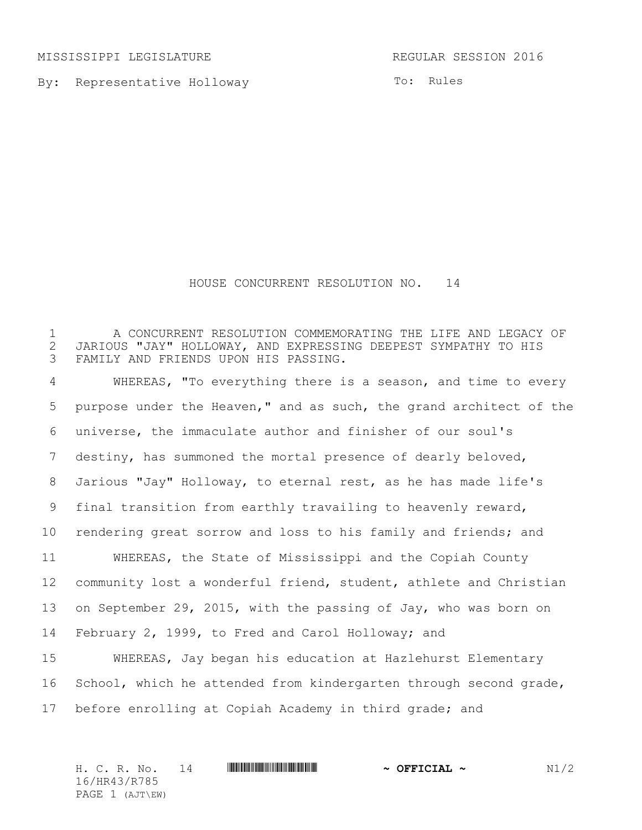MISSISSIPPI LEGISLATURE REGULAR SESSION 2016

By: Representative Holloway

To: Rules

## HOUSE CONCURRENT RESOLUTION NO. 14

 A CONCURRENT RESOLUTION COMMEMORATING THE LIFE AND LEGACY OF JARIOUS "JAY" HOLLOWAY, AND EXPRESSING DEEPEST SYMPATHY TO HIS FAMILY AND FRIENDS UPON HIS PASSING.

 WHEREAS, "To everything there is a season, and time to every purpose under the Heaven," and as such, the grand architect of the universe, the immaculate author and finisher of our soul's destiny, has summoned the mortal presence of dearly beloved, Jarious "Jay" Holloway, to eternal rest, as he has made life's final transition from earthly travailing to heavenly reward, rendering great sorrow and loss to his family and friends; and WHEREAS, the State of Mississippi and the Copiah County

 community lost a wonderful friend, student, athlete and Christian on September 29, 2015, with the passing of Jay, who was born on February 2, 1999, to Fred and Carol Holloway; and

 WHEREAS, Jay began his education at Hazlehurst Elementary 16 School, which he attended from kindergarten through second grade, before enrolling at Copiah Academy in third grade; and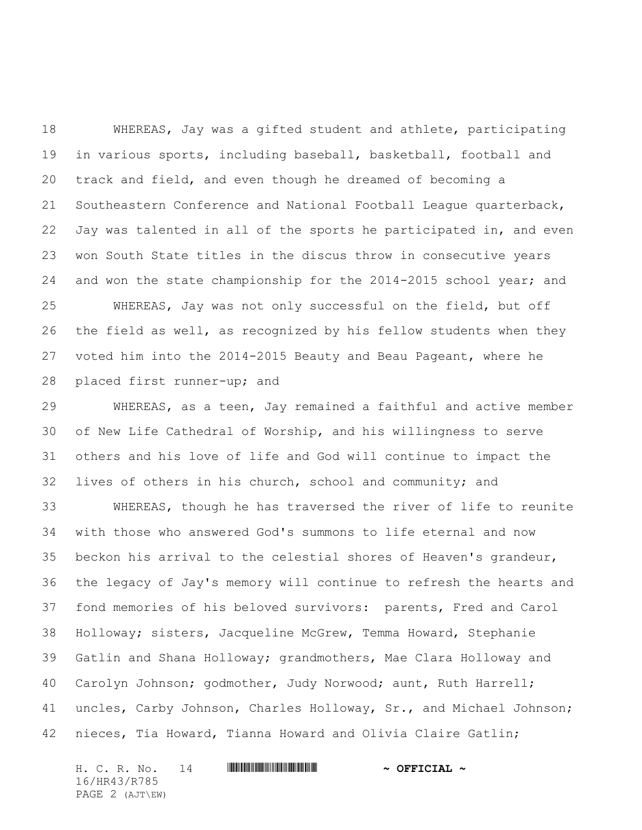WHEREAS, Jay was a gifted student and athlete, participating in various sports, including baseball, basketball, football and track and field, and even though he dreamed of becoming a Southeastern Conference and National Football League quarterback, Jay was talented in all of the sports he participated in, and even won South State titles in the discus throw in consecutive years and won the state championship for the 2014-2015 school year; and WHEREAS, Jay was not only successful on the field, but off

 the field as well, as recognized by his fellow students when they voted him into the 2014-2015 Beauty and Beau Pageant, where he placed first runner-up; and

 WHEREAS, as a teen, Jay remained a faithful and active member of New Life Cathedral of Worship, and his willingness to serve others and his love of life and God will continue to impact the lives of others in his church, school and community; and

 WHEREAS, though he has traversed the river of life to reunite with those who answered God's summons to life eternal and now beckon his arrival to the celestial shores of Heaven's grandeur, the legacy of Jay's memory will continue to refresh the hearts and fond memories of his beloved survivors: parents, Fred and Carol Holloway; sisters, Jacqueline McGrew, Temma Howard, Stephanie Gatlin and Shana Holloway; grandmothers, Mae Clara Holloway and Carolyn Johnson; godmother, Judy Norwood; aunt, Ruth Harrell; uncles, Carby Johnson, Charles Holloway, Sr., and Michael Johnson; nieces, Tia Howard, Tianna Howard and Olivia Claire Gatlin;

H. C. R. No. 14 \*HR43/R785\* **~ OFFICIAL ~** 16/HR43/R785 PAGE 2 (AJT\EW)